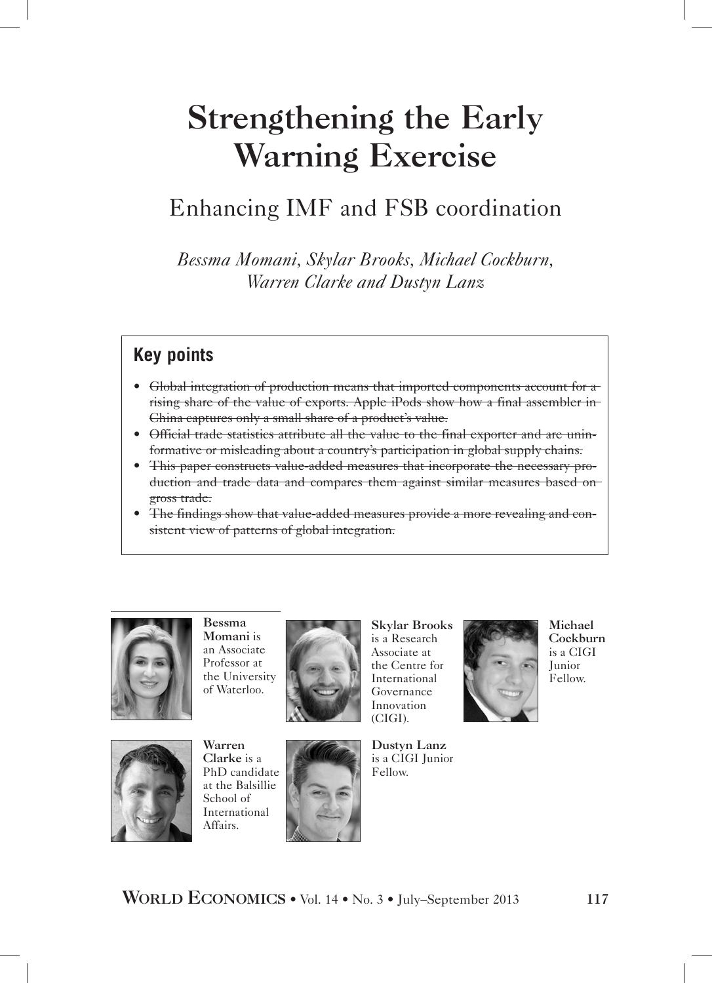# Strengthening the Early Warning Exercise

## Enhancing IMF and FSB coordination

*Bessma Momani, Skylar Brooks, Michael Cockburn, Warren Clarke and Dustyn Lanz*

## **Key points**

- Global integration of production means that imported components account for a rising share of the value of exports. Apple iPods show how a final assembler in China captures only a small share of a product's value.
- Official trade statistics attribute all the value to the final exporter and are uninformative or misleading about a country's participation in global supply chains.
- This paper constructs value-added measures that incorporate the necessary production and trade data and compares them against similar measures based on gross trade.
- The findings show that value-added measures provide a more revealing and consistent view of patterns of global integration.



Bessma Momani is an Associate Professor at the University of Waterloo.



Skylar Brooks is a Research Associate at the Centre for International Governance Innovation (CIGI).



Michael Cockburn is a CIGI Junior Fellow.



Warren Clarke is a PhD candidate at the Balsillie School of International Affairs.



Dustyn Lanz is a CIGI Junior Fellow.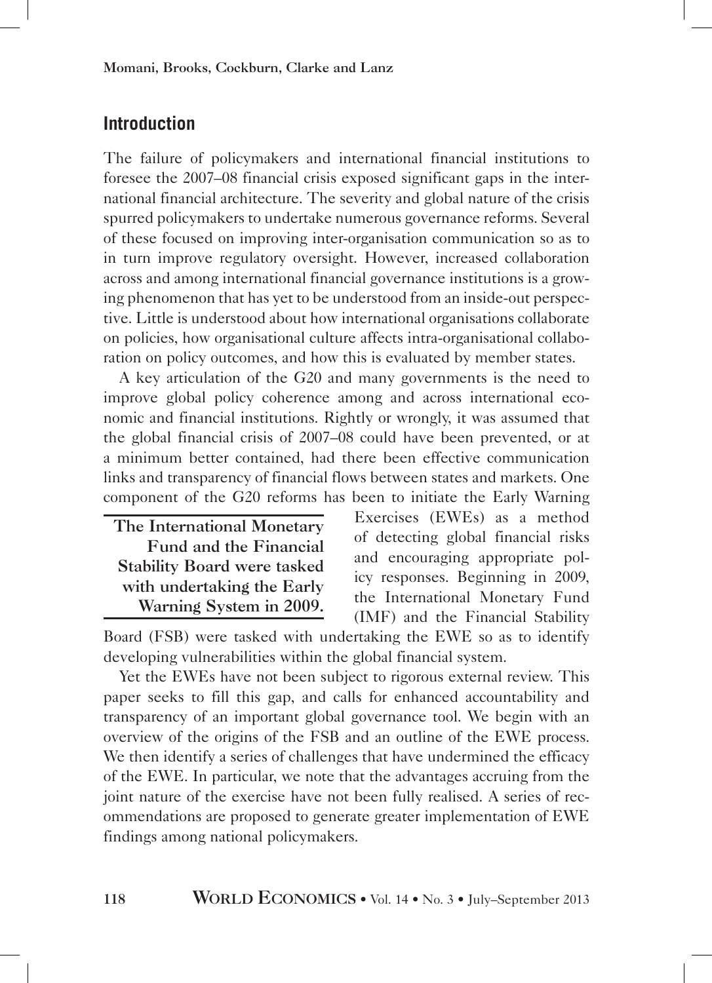## **Introduction**

The failure of policymakers and international financial institutions to foresee the 2007–08 financial crisis exposed significant gaps in the international financial architecture. The severity and global nature of the crisis spurred policymakers to undertake numerous governance reforms. Several of these focused on improving inter-organisation communication so as to in turn improve regulatory oversight. However, increased collaboration across and among international financial governance institutions is a growing phenomenon that has yet to be understood from an inside-out perspective. Little is understood about how international organisations collaborate on policies, how organisational culture affects intra-organisational collaboration on policy outcomes, and how this is evaluated by member states.

A key articulation of the G20 and many governments is the need to improve global policy coherence among and across international economic and financial institutions. Rightly or wrongly, it was assumed that the global financial crisis of 2007–08 could have been prevented, or at a minimum better contained, had there been effective communication links and transparency of financial flows between states and markets. One component of the G20 reforms has been to initiate the Early Warning

| The International Monetary         |
|------------------------------------|
| Fund and the Financial             |
| <b>Stability Board were tasked</b> |
| with undertaking the Early         |
| Warning System in 2009.            |

Exercises (EWEs) as a method of detecting global financial risks and encouraging appropriate policy responses. Beginning in 2009, the International Monetary Fund (IMF) and the Financial Stability

Board (FSB) were tasked with undertaking the EWE so as to identify developing vulnerabilities within the global financial system.

Yet the EWEs have not been subject to rigorous external review. This paper seeks to fill this gap, and calls for enhanced accountability and transparency of an important global governance tool. We begin with an overview of the origins of the FSB and an outline of the EWE process. We then identify a series of challenges that have undermined the efficacy of the EWE. In particular, we note that the advantages accruing from the joint nature of the exercise have not been fully realised. A series of recommendations are proposed to generate greater implementation of EWE findings among national policymakers.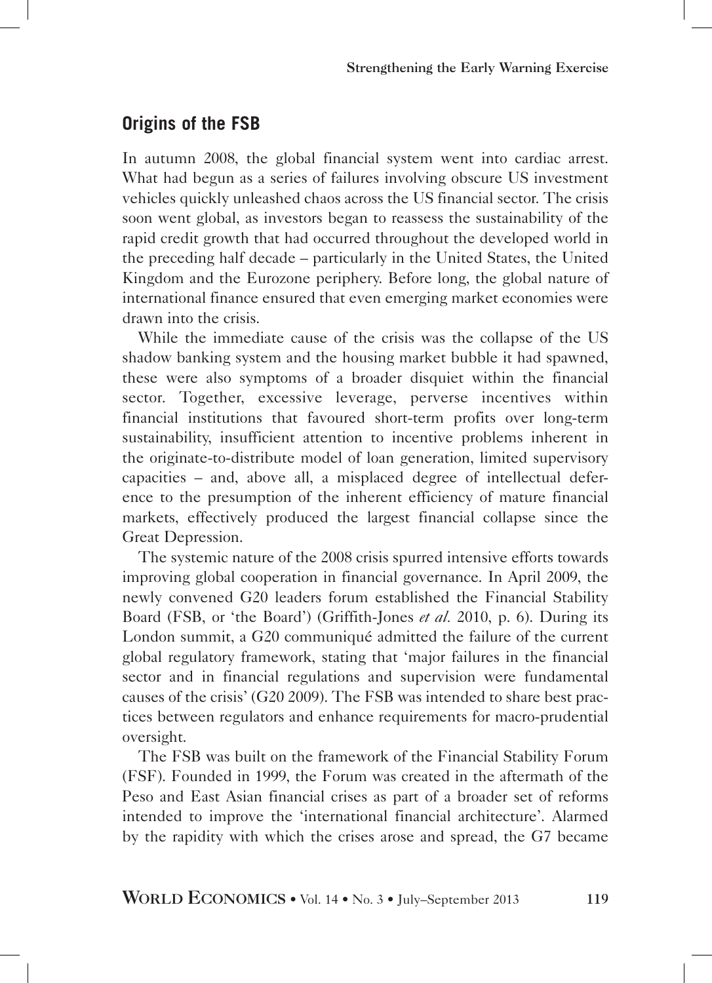## **Origins of the FSB**

In autumn 2008, the global financial system went into cardiac arrest. What had begun as a series of failures involving obscure US investment vehicles quickly unleashed chaos across the US financial sector. The crisis soon went global, as investors began to reassess the sustainability of the rapid credit growth that had occurred throughout the developed world in the preceding half decade – particularly in the United States, the United Kingdom and the Eurozone periphery. Before long, the global nature of international finance ensured that even emerging market economies were drawn into the crisis.

While the immediate cause of the crisis was the collapse of the US shadow banking system and the housing market bubble it had spawned, these were also symptoms of a broader disquiet within the financial sector. Together, excessive leverage, perverse incentives within financial institutions that favoured short-term profits over long-term sustainability, insufficient attention to incentive problems inherent in the originate-to-distribute model of loan generation, limited supervisory capacities – and, above all, a misplaced degree of intellectual deference to the presumption of the inherent efficiency of mature financial markets, effectively produced the largest financial collapse since the Great Depression.

The systemic nature of the 2008 crisis spurred intensive efforts towards improving global cooperation in financial governance. In April 2009, the newly convened G20 leaders forum established the Financial Stability Board (FSB, or 'the Board') (Griffith-Jones *et al.* 2010, p. 6). During its London summit, a G20 communiqué admitted the failure of the current global regulatory framework, stating that 'major failures in the financial sector and in financial regulations and supervision were fundamental causes of the crisis' (G20 2009). The FSB was intended to share best practices between regulators and enhance requirements for macro-prudential oversight.

The FSB was built on the framework of the Financial Stability Forum (FSF). Founded in 1999, the Forum was created in the aftermath of the Peso and East Asian financial crises as part of a broader set of reforms intended to improve the 'international financial architecture'. Alarmed by the rapidity with which the crises arose and spread, the G7 became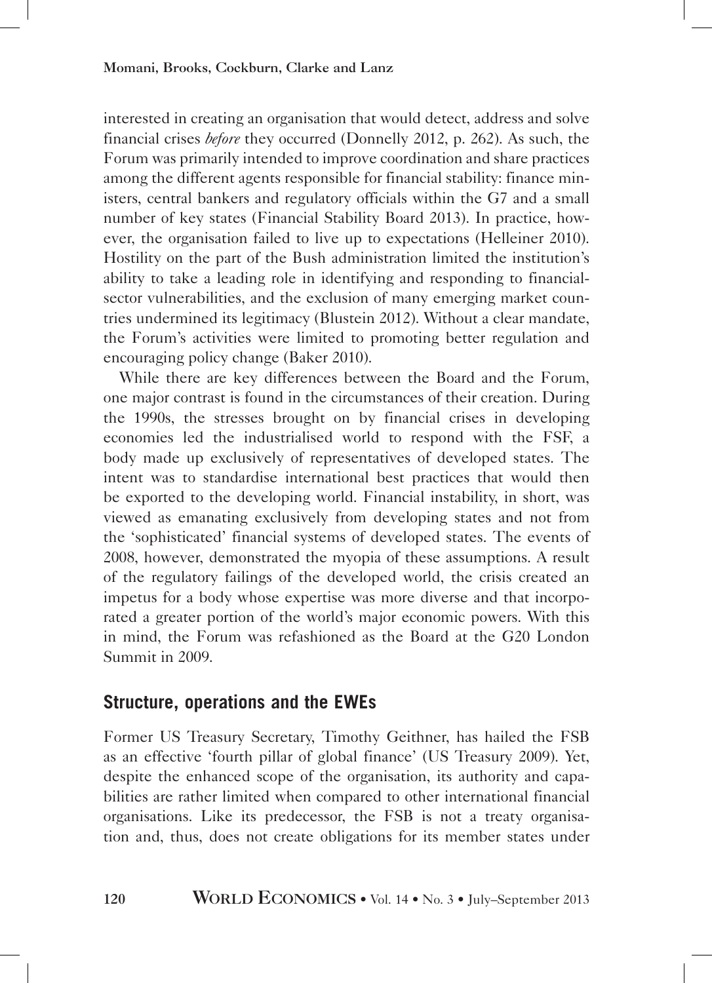interested in creating an organisation that would detect, address and solve financial crises *before* they occurred (Donnelly 2012, p. 262). As such, the Forum was primarily intended to improve coordination and share practices among the different agents responsible for financial stability: finance ministers, central bankers and regulatory officials within the G7 and a small number of key states (Financial Stability Board 2013). In practice, however, the organisation failed to live up to expectations (Helleiner 2010). Hostility on the part of the Bush administration limited the institution's ability to take a leading role in identifying and responding to financialsector vulnerabilities, and the exclusion of many emerging market countries undermined its legitimacy (Blustein 2012). Without a clear mandate, the Forum's activities were limited to promoting better regulation and encouraging policy change (Baker 2010).

While there are key differences between the Board and the Forum, one major contrast is found in the circumstances of their creation. During the 1990s, the stresses brought on by financial crises in developing economies led the industrialised world to respond with the FSF, a body made up exclusively of representatives of developed states. The intent was to standardise international best practices that would then be exported to the developing world. Financial instability, in short, was viewed as emanating exclusively from developing states and not from the 'sophisticated' financial systems of developed states. The events of 2008, however, demonstrated the myopia of these assumptions. A result of the regulatory failings of the developed world, the crisis created an impetus for a body whose expertise was more diverse and that incorporated a greater portion of the world's major economic powers. With this in mind, the Forum was refashioned as the Board at the G20 London Summit in 2009.

## **Structure, operations and the EWEs**

Former US Treasury Secretary, Timothy Geithner, has hailed the FSB as an effective 'fourth pillar of global finance' (US Treasury 2009). Yet, despite the enhanced scope of the organisation, its authority and capabilities are rather limited when compared to other international financial organisations. Like its predecessor, the FSB is not a treaty organisation and, thus, does not create obligations for its member states under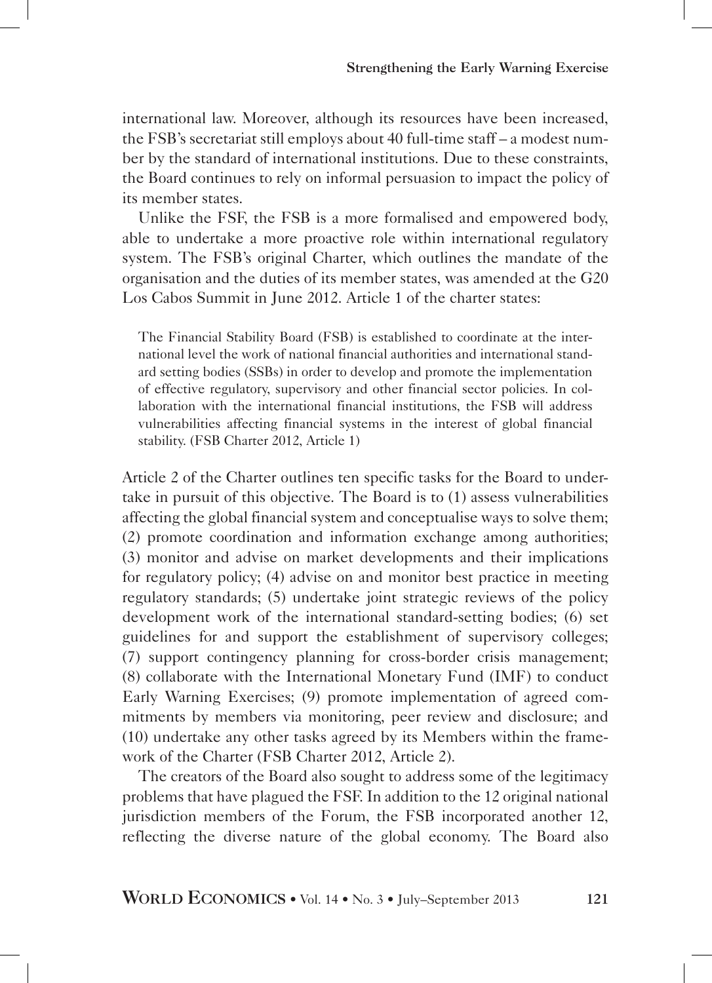international law. Moreover, although its resources have been increased, the FSB's secretariat still employs about 40 full-time staff – a modest number by the standard of international institutions. Due to these constraints, the Board continues to rely on informal persuasion to impact the policy of its member states.

Unlike the FSF, the FSB is a more formalised and empowered body, able to undertake a more proactive role within international regulatory system. The FSB's original Charter, which outlines the mandate of the organisation and the duties of its member states, was amended at the G20 Los Cabos Summit in June 2012. Article 1 of the charter states:

The Financial Stability Board (FSB) is established to coordinate at the international level the work of national financial authorities and international standard setting bodies (SSBs) in order to develop and promote the implementation of effective regulatory, supervisory and other financial sector policies. In collaboration with the international financial institutions, the FSB will address vulnerabilities affecting financial systems in the interest of global financial stability. (FSB Charter 2012, Article 1)

Article 2 of the Charter outlines ten specific tasks for the Board to undertake in pursuit of this objective. The Board is to (1) assess vulnerabilities affecting the global financial system and conceptualise ways to solve them; (2) promote coordination and information exchange among authorities; (3) monitor and advise on market developments and their implications for regulatory policy; (4) advise on and monitor best practice in meeting regulatory standards; (5) undertake joint strategic reviews of the policy development work of the international standard-setting bodies; (6) set guidelines for and support the establishment of supervisory colleges; (7) support contingency planning for cross-border crisis management; (8) collaborate with the International Monetary Fund (IMF) to conduct Early Warning Exercises; (9) promote implementation of agreed commitments by members via monitoring, peer review and disclosure; and (10) undertake any other tasks agreed by its Members within the framework of the Charter (FSB Charter 2012, Article 2).

The creators of the Board also sought to address some of the legitimacy problems that have plagued the FSF. In addition to the 12 original national jurisdiction members of the Forum, the FSB incorporated another 12, reflecting the diverse nature of the global economy. The Board also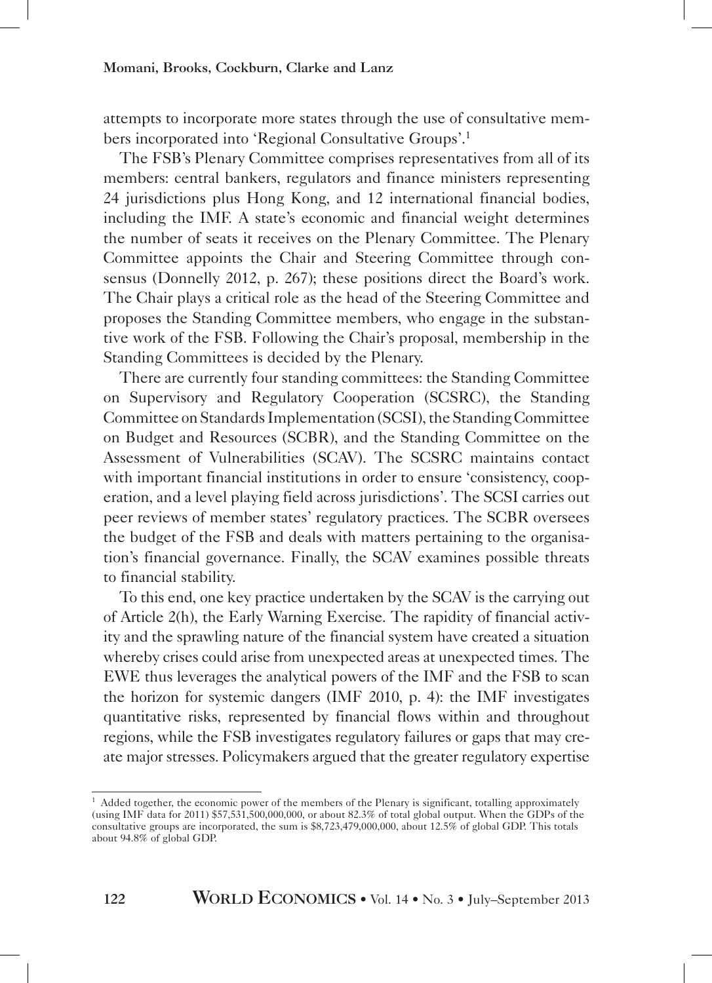attempts to incorporate more states through the use of consultative members incorporated into 'Regional Consultative Groups'.1

The FSB's Plenary Committee comprises representatives from all of its members: central bankers, regulators and finance ministers representing 24 jurisdictions plus Hong Kong, and 12 international financial bodies, including the IMF. A state's economic and financial weight determines the number of seats it receives on the Plenary Committee. The Plenary Committee appoints the Chair and Steering Committee through consensus (Donnelly 2012, p. 267); these positions direct the Board's work. The Chair plays a critical role as the head of the Steering Committee and proposes the Standing Committee members, who engage in the substantive work of the FSB. Following the Chair's proposal, membership in the Standing Committees is decided by the Plenary.

There are currently four standing committees: the Standing Committee on Supervisory and Regulatory Cooperation (SCSRC), the Standing Committee on Standards Implementation (SCSI), the Standing Committee on Budget and Resources (SCBR), and the Standing Committee on the Assessment of Vulnerabilities (SCAV). The SCSRC maintains contact with important financial institutions in order to ensure 'consistency, cooperation, and a level playing field across jurisdictions'. The SCSI carries out peer reviews of member states' regulatory practices. The SCBR oversees the budget of the FSB and deals with matters pertaining to the organisation's financial governance. Finally, the SCAV examines possible threats to financial stability.

To this end, one key practice undertaken by the SCAV is the carrying out of Article 2(h), the Early Warning Exercise. The rapidity of financial activity and the sprawling nature of the financial system have created a situation whereby crises could arise from unexpected areas at unexpected times. The EWE thus leverages the analytical powers of the IMF and the FSB to scan the horizon for systemic dangers (IMF 2010, p. 4): the IMF investigates quantitative risks, represented by financial flows within and throughout regions, while the FSB investigates regulatory failures or gaps that may create major stresses. Policymakers argued that the greater regulatory expertise

<sup>&</sup>lt;sup>1</sup> Added together, the economic power of the members of the Plenary is significant, totalling approximately (using IMF data for 2011) \$57,531,500,000,000, or about 82.3% of total global output. When the GDPs of the consultative groups are incorporated, the sum is \$8,723,479,000,000, about 12.5% of global GDP. This totals about 94.8% of global GDP.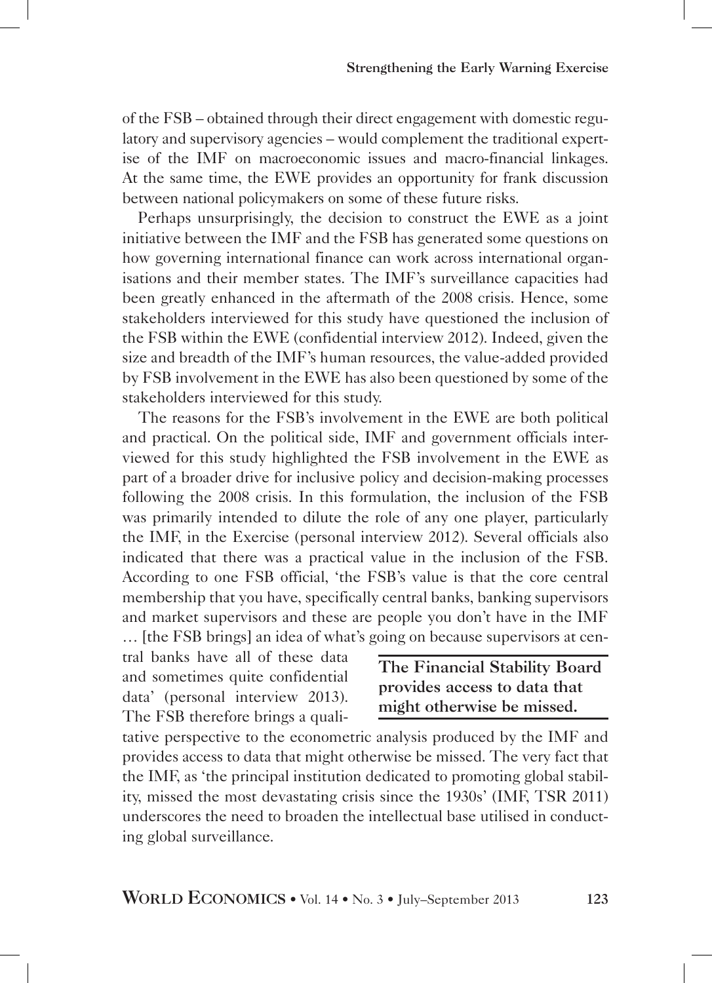of the FSB – obtained through their direct engagement with domestic regulatory and supervisory agencies – would complement the traditional expertise of the IMF on macroeconomic issues and macro-financial linkages. At the same time, the EWE provides an opportunity for frank discussion between national policymakers on some of these future risks.

Perhaps unsurprisingly, the decision to construct the EWE as a joint initiative between the IMF and the FSB has generated some questions on how governing international finance can work across international organisations and their member states. The IMF's surveillance capacities had been greatly enhanced in the aftermath of the 2008 crisis. Hence, some stakeholders interviewed for this study have questioned the inclusion of the FSB within the EWE (confidential interview 2012). Indeed, given the size and breadth of the IMF's human resources, the value-added provided by FSB involvement in the EWE has also been questioned by some of the stakeholders interviewed for this study.

The reasons for the FSB's involvement in the EWE are both political and practical. On the political side, IMF and government officials interviewed for this study highlighted the FSB involvement in the EWE as part of a broader drive for inclusive policy and decision-making processes following the 2008 crisis. In this formulation, the inclusion of the FSB was primarily intended to dilute the role of any one player, particularly the IMF, in the Exercise (personal interview 2012). Several officials also indicated that there was a practical value in the inclusion of the FSB. According to one FSB official, 'the FSB's value is that the core central membership that you have, specifically central banks, banking supervisors and market supervisors and these are people you don't have in the IMF … [the FSB brings] an idea of what's going on because supervisors at cen-

tral banks have all of these data and sometimes quite confidential data' (personal interview 2013). The FSB therefore brings a quali-

The Financial Stability Board provides access to data that might otherwise be missed.

tative perspective to the econometric analysis produced by the IMF and provides access to data that might otherwise be missed. The very fact that the IMF, as 'the principal institution dedicated to promoting global stability, missed the most devastating crisis since the 1930s' (IMF, TSR 2011) underscores the need to broaden the intellectual base utilised in conducting global surveillance.

WORLD ECONOMICS • Vol. 14 • No. 3 • July–September 2013 123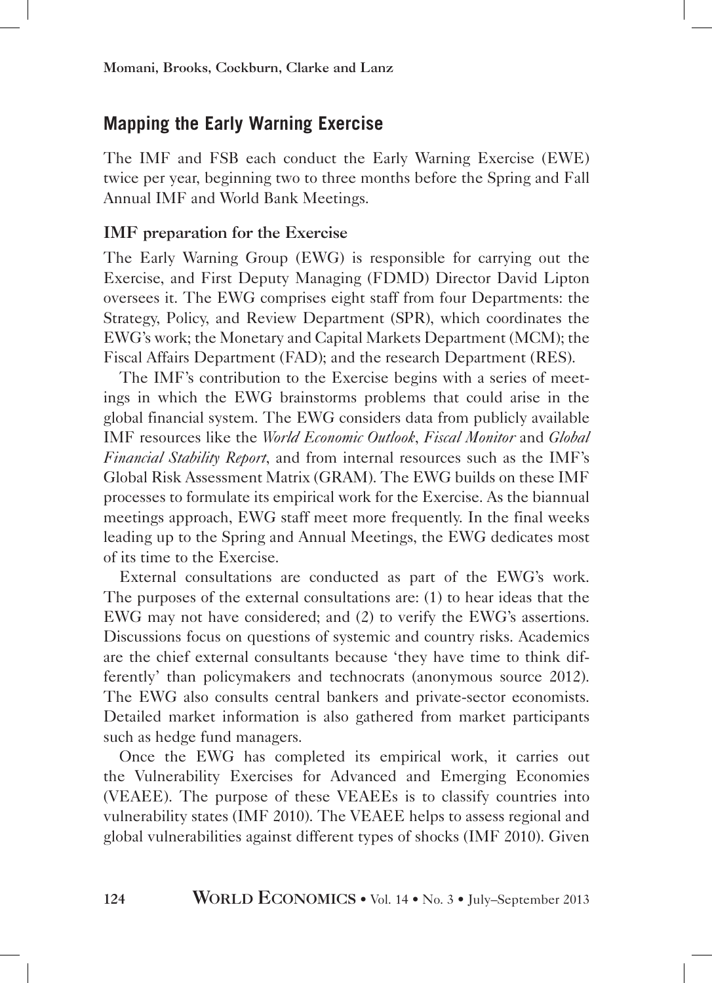## **Mapping the Early Warning Exercise**

The IMF and FSB each conduct the Early Warning Exercise (EWE) twice per year, beginning two to three months before the Spring and Fall Annual IMF and World Bank Meetings.

## IMF preparation for the Exercise

The Early Warning Group (EWG) is responsible for carrying out the Exercise, and First Deputy Managing (FDMD) Director David Lipton oversees it. The EWG comprises eight staff from four Departments: the Strategy, Policy, and Review Department (SPR), which coordinates the EWG's work; the Monetary and Capital Markets Department (MCM); the Fiscal Affairs Department (FAD); and the research Department (RES).

The IMF's contribution to the Exercise begins with a series of meetings in which the EWG brainstorms problems that could arise in the global financial system. The EWG considers data from publicly available IMF resources like the *World Economic Outlook*, *Fiscal Monitor* and *Global Financial Stability Report*, and from internal resources such as the IMF's Global Risk Assessment Matrix (GRAM). The EWG builds on these IMF processes to formulate its empirical work for the Exercise. As the biannual meetings approach, EWG staff meet more frequently. In the final weeks leading up to the Spring and Annual Meetings, the EWG dedicates most of its time to the Exercise.

External consultations are conducted as part of the EWG's work. The purposes of the external consultations are: (1) to hear ideas that the EWG may not have considered; and (2) to verify the EWG's assertions. Discussions focus on questions of systemic and country risks. Academics are the chief external consultants because 'they have time to think differently' than policymakers and technocrats (anonymous source 2012). The EWG also consults central bankers and private-sector economists. Detailed market information is also gathered from market participants such as hedge fund managers.

Once the EWG has completed its empirical work, it carries out the Vulnerability Exercises for Advanced and Emerging Economies (VEAEE). The purpose of these VEAEEs is to classify countries into vulnerability states (IMF 2010). The VEAEE helps to assess regional and global vulnerabilities against different types of shocks (IMF 2010). Given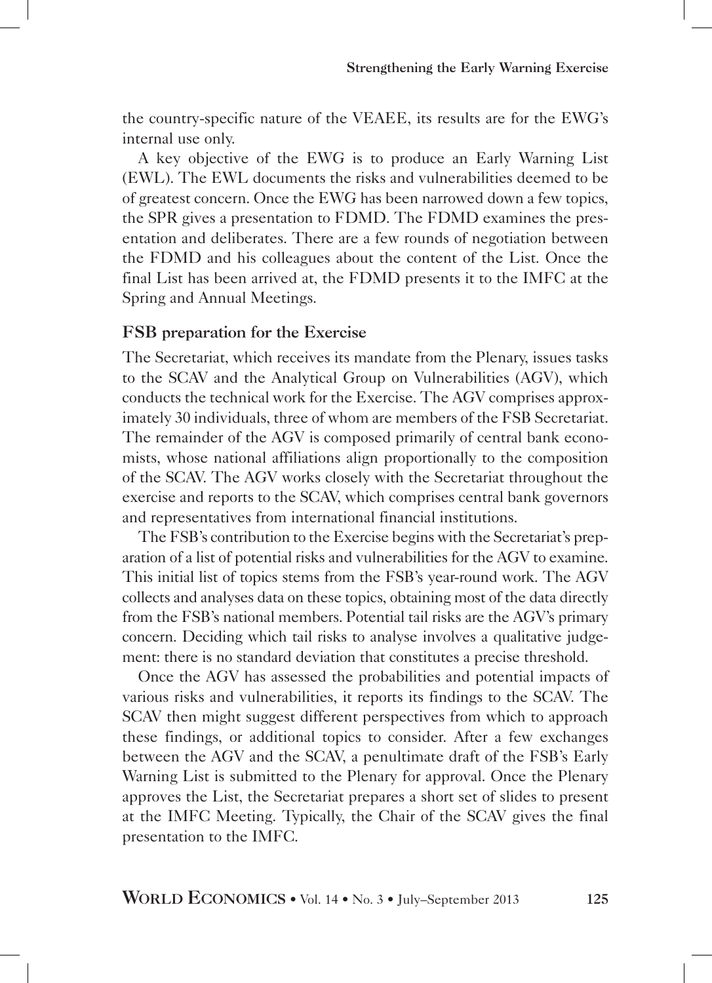the country-specific nature of the VEAEE, its results are for the EWG's internal use only.

A key objective of the EWG is to produce an Early Warning List (EWL). The EWL documents the risks and vulnerabilities deemed to be of greatest concern. Once the EWG has been narrowed down a few topics, the SPR gives a presentation to FDMD. The FDMD examines the presentation and deliberates. There are a few rounds of negotiation between the FDMD and his colleagues about the content of the List. Once the final List has been arrived at, the FDMD presents it to the IMFC at the Spring and Annual Meetings.

#### FSB preparation for the Exercise

The Secretariat, which receives its mandate from the Plenary, issues tasks to the SCAV and the Analytical Group on Vulnerabilities (AGV), which conducts the technical work for the Exercise. The AGV comprises approximately 30 individuals, three of whom are members of the FSB Secretariat. The remainder of the AGV is composed primarily of central bank economists, whose national affiliations align proportionally to the composition of the SCAV. The AGV works closely with the Secretariat throughout the exercise and reports to the SCAV, which comprises central bank governors and representatives from international financial institutions.

The FSB's contribution to the Exercise begins with the Secretariat's preparation of a list of potential risks and vulnerabilities for the AGV to examine. This initial list of topics stems from the FSB's year-round work. The AGV collects and analyses data on these topics, obtaining most of the data directly from the FSB's national members. Potential tail risks are the AGV's primary concern. Deciding which tail risks to analyse involves a qualitative judgement: there is no standard deviation that constitutes a precise threshold.

Once the AGV has assessed the probabilities and potential impacts of various risks and vulnerabilities, it reports its findings to the SCAV. The SCAV then might suggest different perspectives from which to approach these findings, or additional topics to consider. After a few exchanges between the AGV and the SCAV, a penultimate draft of the FSB's Early Warning List is submitted to the Plenary for approval. Once the Plenary approves the List, the Secretariat prepares a short set of slides to present at the IMFC Meeting. Typically, the Chair of the SCAV gives the final presentation to the IMFC.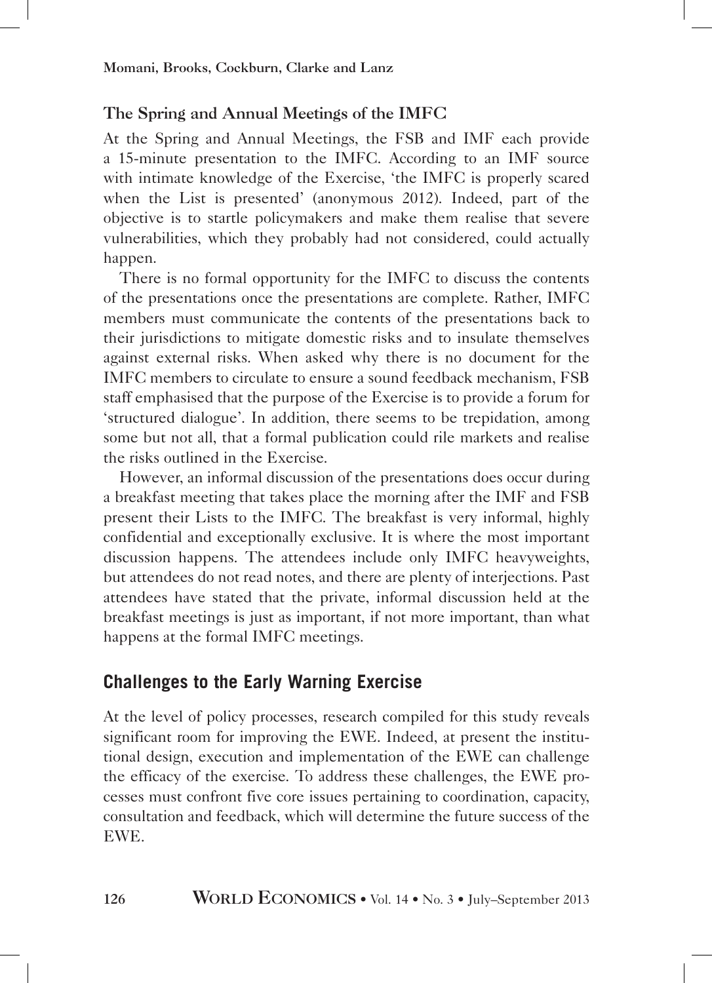## The Spring and Annual Meetings of the IMFC

At the Spring and Annual Meetings, the FSB and IMF each provide a 15-minute presentation to the IMFC. According to an IMF source with intimate knowledge of the Exercise, 'the IMFC is properly scared when the List is presented' (anonymous 2012). Indeed, part of the objective is to startle policymakers and make them realise that severe vulnerabilities, which they probably had not considered, could actually happen.

There is no formal opportunity for the IMFC to discuss the contents of the presentations once the presentations are complete. Rather, IMFC members must communicate the contents of the presentations back to their jurisdictions to mitigate domestic risks and to insulate themselves against external risks. When asked why there is no document for the IMFC members to circulate to ensure a sound feedback mechanism, FSB staff emphasised that the purpose of the Exercise is to provide a forum for 'structured dialogue'. In addition, there seems to be trepidation, among some but not all, that a formal publication could rile markets and realise the risks outlined in the Exercise.

However, an informal discussion of the presentations does occur during a breakfast meeting that takes place the morning after the IMF and FSB present their Lists to the IMFC. The breakfast is very informal, highly confidential and exceptionally exclusive. It is where the most important discussion happens. The attendees include only IMFC heavyweights, but attendees do not read notes, and there are plenty of interjections. Past attendees have stated that the private, informal discussion held at the breakfast meetings is just as important, if not more important, than what happens at the formal IMFC meetings.

## **Challenges to the Early Warning Exercise**

At the level of policy processes, research compiled for this study reveals significant room for improving the EWE. Indeed, at present the institutional design, execution and implementation of the EWE can challenge the efficacy of the exercise. To address these challenges, the EWE processes must confront five core issues pertaining to coordination, capacity, consultation and feedback, which will determine the future success of the EWE.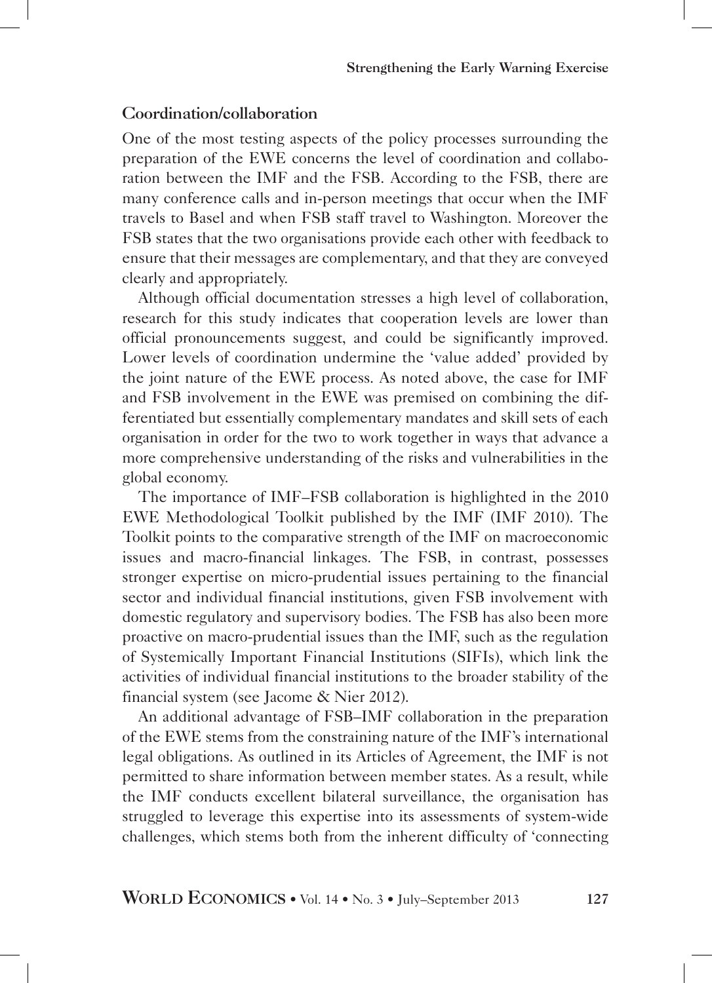## Coordination/collaboration

One of the most testing aspects of the policy processes surrounding the preparation of the EWE concerns the level of coordination and collaboration between the IMF and the FSB. According to the FSB, there are many conference calls and in-person meetings that occur when the IMF travels to Basel and when FSB staff travel to Washington. Moreover the FSB states that the two organisations provide each other with feedback to ensure that their messages are complementary, and that they are conveyed clearly and appropriately.

Although official documentation stresses a high level of collaboration, research for this study indicates that cooperation levels are lower than official pronouncements suggest, and could be significantly improved. Lower levels of coordination undermine the 'value added' provided by the joint nature of the EWE process. As noted above, the case for IMF and FSB involvement in the EWE was premised on combining the differentiated but essentially complementary mandates and skill sets of each organisation in order for the two to work together in ways that advance a more comprehensive understanding of the risks and vulnerabilities in the global economy.

The importance of IMF–FSB collaboration is highlighted in the 2010 EWE Methodological Toolkit published by the IMF (IMF 2010). The Toolkit points to the comparative strength of the IMF on macroeconomic issues and macro-financial linkages. The FSB, in contrast, possesses stronger expertise on micro-prudential issues pertaining to the financial sector and individual financial institutions, given FSB involvement with domestic regulatory and supervisory bodies. The FSB has also been more proactive on macro-prudential issues than the IMF, such as the regulation of Systemically Important Financial Institutions (SIFIs), which link the activities of individual financial institutions to the broader stability of the financial system (see Jacome & Nier 2012).

An additional advantage of FSB–IMF collaboration in the preparation of the EWE stems from the constraining nature of the IMF's international legal obligations. As outlined in its Articles of Agreement, the IMF is not permitted to share information between member states. As a result, while the IMF conducts excellent bilateral surveillance, the organisation has struggled to leverage this expertise into its assessments of system-wide challenges, which stems both from the inherent difficulty of 'connecting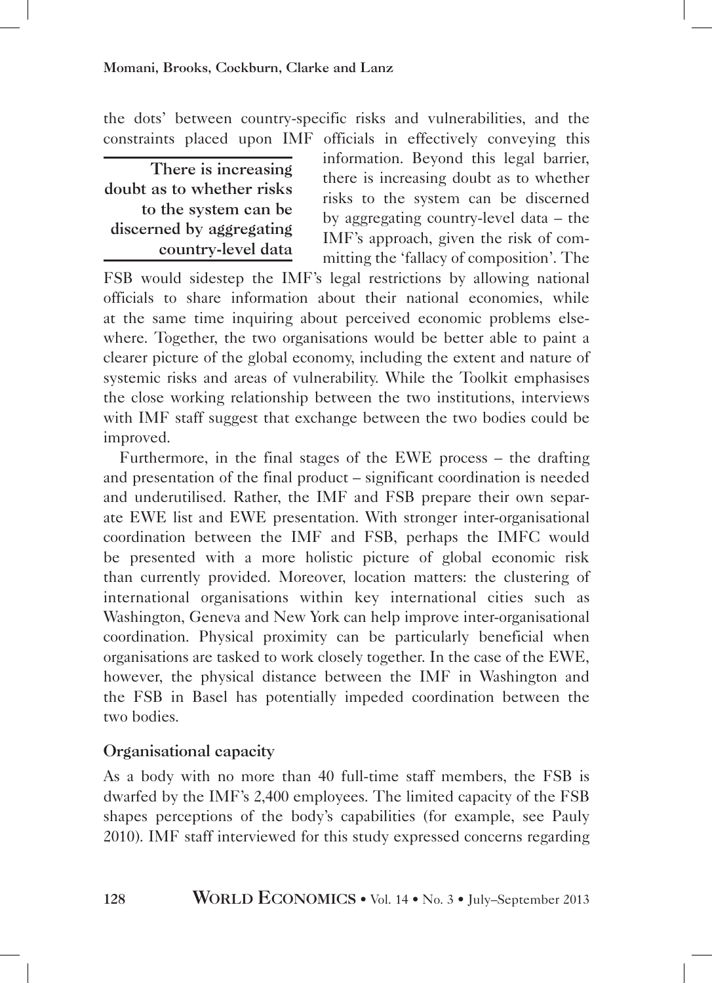the dots' between country-specific risks and vulnerabilities, and the constraints placed upon IMF officials in effectively conveying this

There is increasing doubt as to whether risks to the system can be discerned by aggregating country-level data

information. Beyond this legal barrier, there is increasing doubt as to whether risks to the system can be discerned by aggregating country-level data – the IMF's approach, given the risk of committing the 'fallacy of composition'. The

FSB would sidestep the IMF's legal restrictions by allowing national officials to share information about their national economies, while at the same time inquiring about perceived economic problems elsewhere. Together, the two organisations would be better able to paint a clearer picture of the global economy, including the extent and nature of systemic risks and areas of vulnerability. While the Toolkit emphasises the close working relationship between the two institutions, interviews with IMF staff suggest that exchange between the two bodies could be improved.

Furthermore, in the final stages of the EWE process – the drafting and presentation of the final product – significant coordination is needed and underutilised. Rather, the IMF and FSB prepare their own separate EWE list and EWE presentation. With stronger inter-organisational coordination between the IMF and FSB, perhaps the IMFC would be presented with a more holistic picture of global economic risk than currently provided. Moreover, location matters: the clustering of international organisations within key international cities such as Washington, Geneva and New York can help improve inter-organisational coordination. Physical proximity can be particularly beneficial when organisations are tasked to work closely together. In the case of the EWE, however, the physical distance between the IMF in Washington and the FSB in Basel has potentially impeded coordination between the two bodies.

## Organisational capacity

As a body with no more than 40 full-time staff members, the FSB is dwarfed by the IMF's 2,400 employees. The limited capacity of the FSB shapes perceptions of the body's capabilities (for example, see Pauly 2010). IMF staff interviewed for this study expressed concerns regarding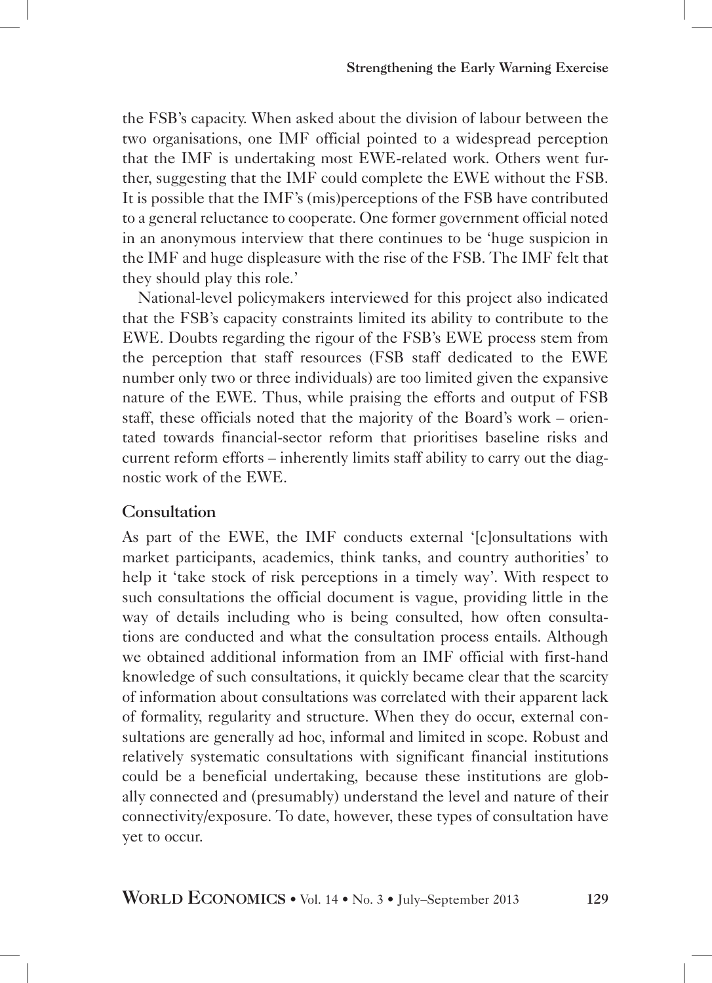the FSB's capacity. When asked about the division of labour between the two organisations, one IMF official pointed to a widespread perception that the IMF is undertaking most EWE-related work. Others went further, suggesting that the IMF could complete the EWE without the FSB. It is possible that the IMF's (mis)perceptions of the FSB have contributed to a general reluctance to cooperate. One former government official noted in an anonymous interview that there continues to be 'huge suspicion in the IMF and huge displeasure with the rise of the FSB. The IMF felt that they should play this role.'

National-level policymakers interviewed for this project also indicated that the FSB's capacity constraints limited its ability to contribute to the EWE. Doubts regarding the rigour of the FSB's EWE process stem from the perception that staff resources (FSB staff dedicated to the EWE number only two or three individuals) are too limited given the expansive nature of the EWE. Thus, while praising the efforts and output of FSB staff, these officials noted that the majority of the Board's work – orientated towards financial-sector reform that prioritises baseline risks and current reform efforts – inherently limits staff ability to carry out the diagnostic work of the EWE.

#### Consultation

As part of the EWE, the IMF conducts external '[c]onsultations with market participants, academics, think tanks, and country authorities' to help it 'take stock of risk perceptions in a timely way'. With respect to such consultations the official document is vague, providing little in the way of details including who is being consulted, how often consultations are conducted and what the consultation process entails. Although we obtained additional information from an IMF official with first-hand knowledge of such consultations, it quickly became clear that the scarcity of information about consultations was correlated with their apparent lack of formality, regularity and structure. When they do occur, external consultations are generally ad hoc, informal and limited in scope. Robust and relatively systematic consultations with significant financial institutions could be a beneficial undertaking, because these institutions are globally connected and (presumably) understand the level and nature of their connectivity/exposure. To date, however, these types of consultation have yet to occur.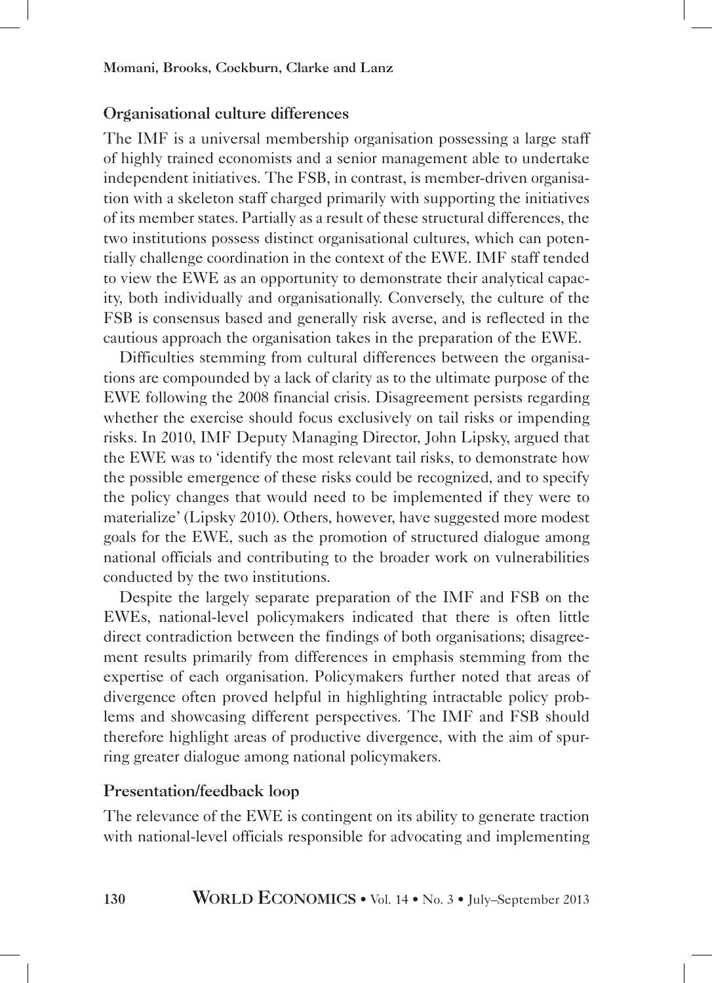#### Organisational culture differences

The IMF is a universal membership organisation possessing a large staff of highly trained economists and a senior management able to undertake independent initiatives. The FSB, in contrast, is member-driven organisation with a skeleton staff charged primarily with supporting the initiatives of its member states. Partially as a result of these structural differences, the two institutions possess distinct organisational cultures, which can potentially challenge coordination in the context of the EWE. IMF staff tended to view the EWE as an opportunity to demonstrate their analytical capacity, both individually and organisationally. Conversely, the culture of the FSB is consensus based and generally risk averse, and is reflected in the cautious approach the organisation takes in the preparation of the EWE.

Difficulties stemming from cultural differences between the organisations are compounded by a lack of clarity as to the ultimate purpose of the EWE following the 2008 financial crisis. Disagreement persists regarding whether the exercise should focus exclusively on tail risks or impending risks. In 2010, IMF Deputy Managing Director, John Lipsky, argued that the EWE was to 'identify the most relevant tail risks, to demonstrate how the possible emergence of these risks could be recognized, and to specify the policy changes that would need to be implemented if they were to materialize' (Lipsky 2010). Others, however, have suggested more modest goals for the EWE, such as the promotion of structured dialogue among national officials and contributing to the broader work on vulnerabilities conducted by the two institutions.

Despite the largely separate preparation of the IMF and FSB on the EWEs, national-level policymakers indicated that there is often little direct contradiction between the findings of both organisations; disagreement results primarily from differences in emphasis stemming from the expertise of each organisation. Policymakers further noted that areas of divergence often proved helpful in highlighting intractable policy problems and showcasing different perspectives. The IMF and FSB should therefore highlight areas of productive divergence, with the aim of spurring greater dialogue among national policymakers.

#### Presentation/feedback loop

The relevance of the EWE is contingent on its ability to generate traction with national-level officials responsible for advocating and implementing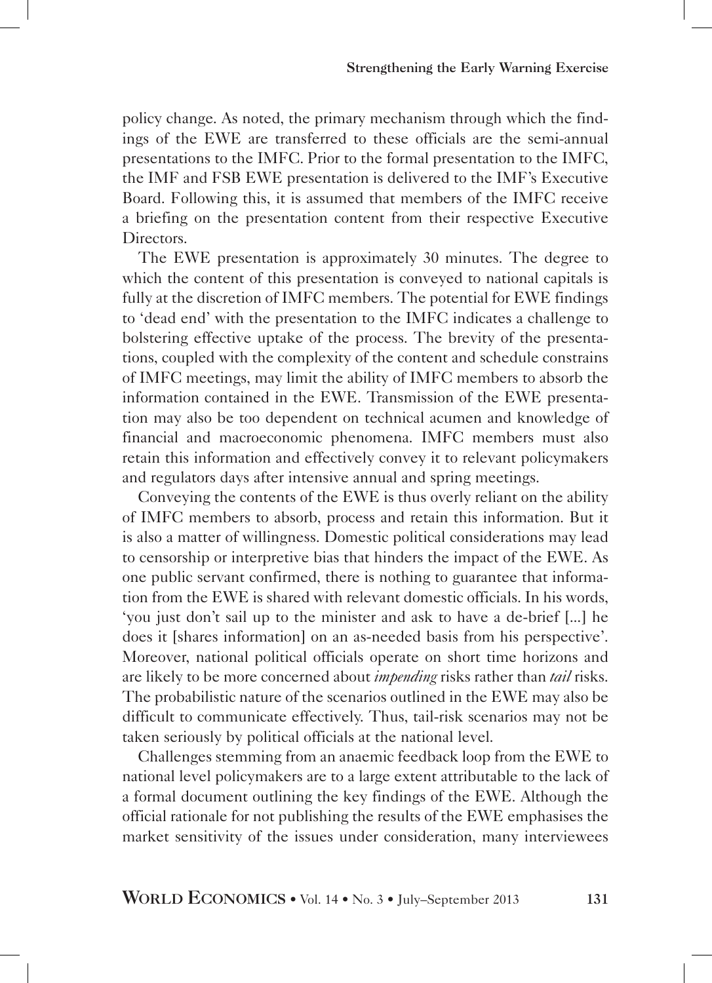policy change. As noted, the primary mechanism through which the findings of the EWE are transferred to these officials are the semi-annual presentations to the IMFC. Prior to the formal presentation to the IMFC, the IMF and FSB EWE presentation is delivered to the IMF's Executive Board. Following this, it is assumed that members of the IMFC receive a briefing on the presentation content from their respective Executive Directors.

The EWE presentation is approximately 30 minutes. The degree to which the content of this presentation is conveyed to national capitals is fully at the discretion of IMFC members. The potential for EWE findings to 'dead end' with the presentation to the IMFC indicates a challenge to bolstering effective uptake of the process. The brevity of the presentations, coupled with the complexity of the content and schedule constrains of IMFC meetings, may limit the ability of IMFC members to absorb the information contained in the EWE. Transmission of the EWE presentation may also be too dependent on technical acumen and knowledge of financial and macroeconomic phenomena. IMFC members must also retain this information and effectively convey it to relevant policymakers and regulators days after intensive annual and spring meetings.

Conveying the contents of the EWE is thus overly reliant on the ability of IMFC members to absorb, process and retain this information. But it is also a matter of willingness. Domestic political considerations may lead to censorship or interpretive bias that hinders the impact of the EWE. As one public servant confirmed, there is nothing to guarantee that information from the EWE is shared with relevant domestic officials. In his words, 'you just don't sail up to the minister and ask to have a de-brief [...] he does it [shares information] on an as-needed basis from his perspective'. Moreover, national political officials operate on short time horizons and are likely to be more concerned about *impending* risks rather than *tail* risks. The probabilistic nature of the scenarios outlined in the EWE may also be difficult to communicate effectively. Thus, tail-risk scenarios may not be taken seriously by political officials at the national level.

Challenges stemming from an anaemic feedback loop from the EWE to national level policymakers are to a large extent attributable to the lack of a formal document outlining the key findings of the EWE. Although the official rationale for not publishing the results of the EWE emphasises the market sensitivity of the issues under consideration, many interviewees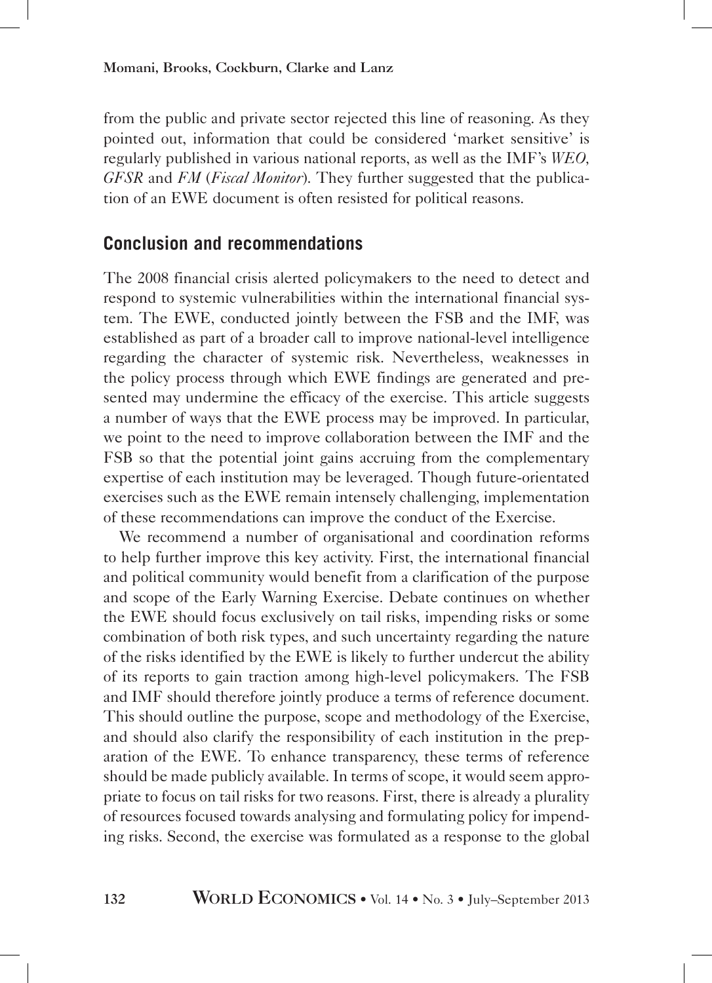Momani, Brooks, Cockburn, Clarke and Lanz

from the public and private sector rejected this line of reasoning. As they pointed out, information that could be considered 'market sensitive' is regularly published in various national reports, as well as the IMF's *WEO, GFSR* and *FM* (*Fiscal Monitor*). They further suggested that the publication of an EWE document is often resisted for political reasons.

## **Conclusion and recommendations**

The 2008 financial crisis alerted policymakers to the need to detect and respond to systemic vulnerabilities within the international financial system. The EWE, conducted jointly between the FSB and the IMF, was established as part of a broader call to improve national-level intelligence regarding the character of systemic risk. Nevertheless, weaknesses in the policy process through which EWE findings are generated and presented may undermine the efficacy of the exercise. This article suggests a number of ways that the EWE process may be improved. In particular, we point to the need to improve collaboration between the IMF and the FSB so that the potential joint gains accruing from the complementary expertise of each institution may be leveraged. Though future-orientated exercises such as the EWE remain intensely challenging, implementation of these recommendations can improve the conduct of the Exercise.

We recommend a number of organisational and coordination reforms to help further improve this key activity. First, the international financial and political community would benefit from a clarification of the purpose and scope of the Early Warning Exercise. Debate continues on whether the EWE should focus exclusively on tail risks, impending risks or some combination of both risk types, and such uncertainty regarding the nature of the risks identified by the EWE is likely to further undercut the ability of its reports to gain traction among high-level policymakers. The FSB and IMF should therefore jointly produce a terms of reference document. This should outline the purpose, scope and methodology of the Exercise, and should also clarify the responsibility of each institution in the preparation of the EWE. To enhance transparency, these terms of reference should be made publicly available. In terms of scope, it would seem appropriate to focus on tail risks for two reasons. First, there is already a plurality of resources focused towards analysing and formulating policy for impending risks. Second, the exercise was formulated as a response to the global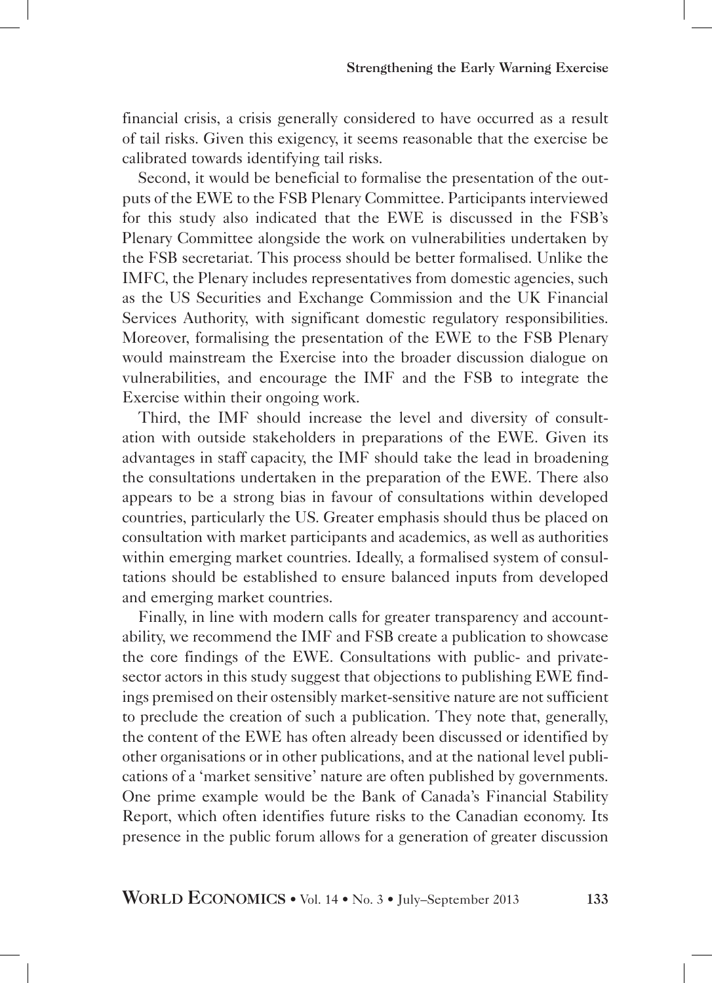financial crisis, a crisis generally considered to have occurred as a result of tail risks. Given this exigency, it seems reasonable that the exercise be calibrated towards identifying tail risks.

Second, it would be beneficial to formalise the presentation of the outputs of the EWE to the FSB Plenary Committee. Participants interviewed for this study also indicated that the EWE is discussed in the FSB's Plenary Committee alongside the work on vulnerabilities undertaken by the FSB secretariat. This process should be better formalised. Unlike the IMFC, the Plenary includes representatives from domestic agencies, such as the US Securities and Exchange Commission and the UK Financial Services Authority, with significant domestic regulatory responsibilities. Moreover, formalising the presentation of the EWE to the FSB Plenary would mainstream the Exercise into the broader discussion dialogue on vulnerabilities, and encourage the IMF and the FSB to integrate the Exercise within their ongoing work.

Third, the IMF should increase the level and diversity of consultation with outside stakeholders in preparations of the EWE. Given its advantages in staff capacity, the IMF should take the lead in broadening the consultations undertaken in the preparation of the EWE. There also appears to be a strong bias in favour of consultations within developed countries, particularly the US. Greater emphasis should thus be placed on consultation with market participants and academics, as well as authorities within emerging market countries. Ideally, a formalised system of consultations should be established to ensure balanced inputs from developed and emerging market countries.

Finally, in line with modern calls for greater transparency and accountability, we recommend the IMF and FSB create a publication to showcase the core findings of the EWE. Consultations with public- and privatesector actors in this study suggest that objections to publishing EWE findings premised on their ostensibly market-sensitive nature are not sufficient to preclude the creation of such a publication. They note that, generally, the content of the EWE has often already been discussed or identified by other organisations or in other publications, and at the national level publications of a 'market sensitive' nature are often published by governments. One prime example would be the Bank of Canada's Financial Stability Report, which often identifies future risks to the Canadian economy. Its presence in the public forum allows for a generation of greater discussion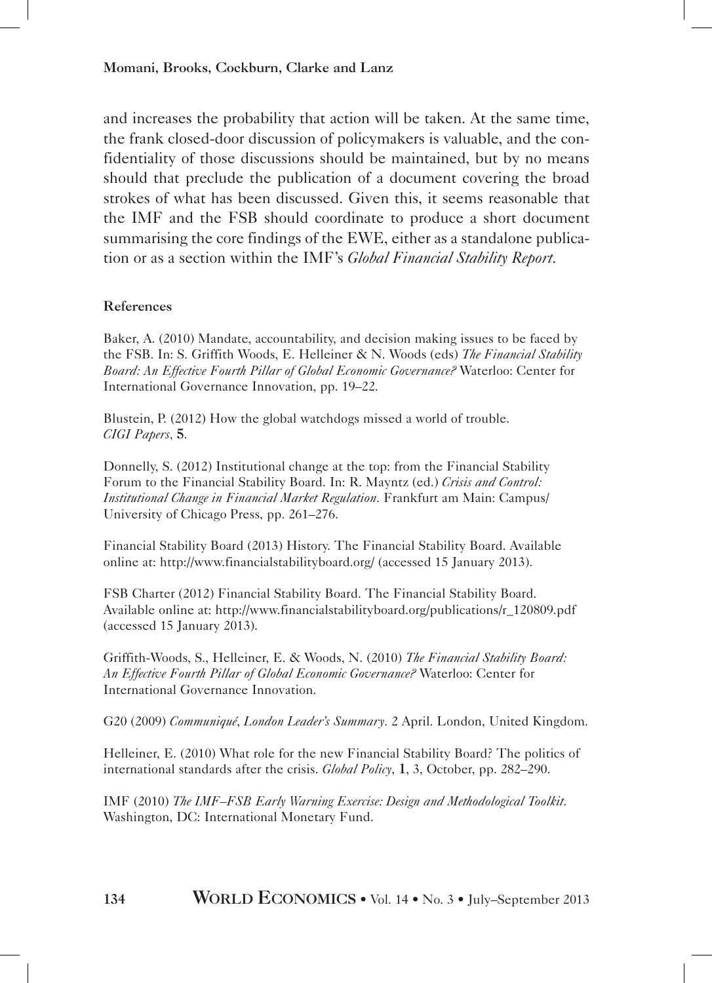#### Momani, Brooks, Cockburn, Clarke and Lanz

and increases the probability that action will be taken. At the same time, the frank closed-door discussion of policymakers is valuable, and the confidentiality of those discussions should be maintained, but by no means should that preclude the publication of a document covering the broad strokes of what has been discussed. Given this, it seems reasonable that the IMF and the FSB should coordinate to produce a short document summarising the core findings of the EWE, either as a standalone publication or as a section within the IMF's *Global Financial Stability Report*.

#### References

Baker, A. (2010) Mandate, accountability, and decision making issues to be faced by the FSB. In: S. Griffith Woods, E. Helleiner & N. Woods (eds) *The Financial Stability Board: An Effective Fourth Pillar of Global Economic Governance?* Waterloo: Center for International Governance Innovation, pp. 19–22.

Blustein, P. (2012) How the global watchdogs missed a world of trouble. *CIGI Papers,* 5.

Donnelly, S. (2012) Institutional change at the top: from the Financial Stability Forum to the Financial Stability Board. In: R. Mayntz (ed.) *Crisis and Control: Institutional Change in Financial Market Regulation*. Frankfurt am Main: Campus/ University of Chicago Press, pp. 261–276.

Financial Stability Board (2013) History. The Financial Stability Board. Available online at: http://www.financialstabilityboard.org/ (accessed 15 January 2013).

FSB Charter (2012) Financial Stability Board. The Financial Stability Board. Available online at: http://www.financialstabilityboard.org/publications/r\_120809.pdf (accessed 15 January 2013).

Griffith-Woods, S., Helleiner, E. & Woods, N. (2010) *The Financial Stability Board: An Effective Fourth Pillar of Global Economic Governance?* Waterloo: Center for International Governance Innovation.

G20 (2009) *Communiqué*, *London Leader's Summary*. 2 April. London, United Kingdom.

Helleiner, E. (2010) What role for the new Financial Stability Board? The politics of international standards after the crisis. *Global Policy*, 1, 3, October, pp. 282–290.

IMF (2010) *The IMF–FSB Early Warning Exercise: Design and Methodological Toolkit*. Washington, DC: International Monetary Fund.